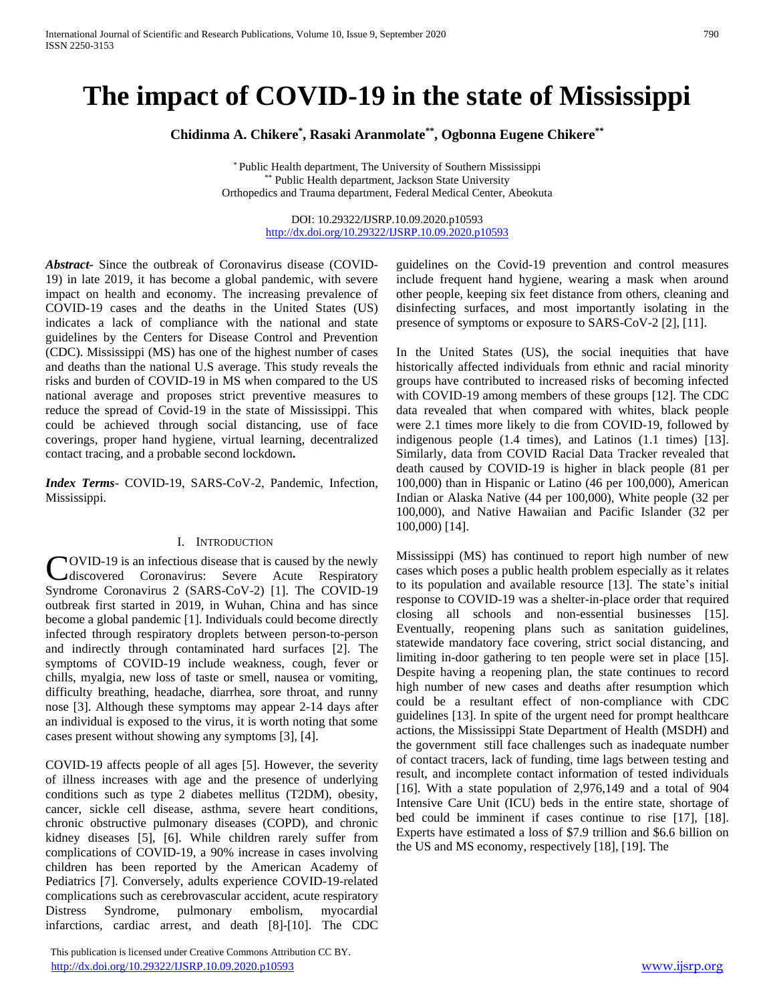# **The impact of COVID-19 in the state of Mississippi**

**Chidinma A. Chikere\* , Rasaki Aranmolate\*\* , Ogbonna Eugene Chikere\*\***

\* Public Health department, The University of Southern Mississippi \*\* Public Health department, Jackson State University Orthopedics and Trauma department, Federal Medical Center, Abeokuta

> DOI: 10.29322/IJSRP.10.09.2020.p10593 <http://dx.doi.org/10.29322/IJSRP.10.09.2020.p10593>

*Abstract***-** Since the outbreak of Coronavirus disease (COVID-19) in late 2019, it has become a global pandemic, with severe impact on health and economy. The increasing prevalence of COVID-19 cases and the deaths in the United States (US) indicates a lack of compliance with the national and state guidelines by the Centers for Disease Control and Prevention (CDC). Mississippi (MS) has one of the highest number of cases and deaths than the national U.S average. This study reveals the risks and burden of COVID-19 in MS when compared to the US national average and proposes strict preventive measures to reduce the spread of Covid-19 in the state of Mississippi. This could be achieved through social distancing, use of face coverings, proper hand hygiene, virtual learning, decentralized contact tracing, and a probable second lockdown**.**

*Index Terms*- COVID-19, SARS-CoV-2, Pandemic, Infection, Mississippi.

#### I. INTRODUCTION

COVID-19 is an infectious disease that is caused by the newly<br>
discovered Coronavirus: Severe Acute Respiratory discovered Coronavirus: Severe Acute Respiratory Syndrome Coronavirus 2 (SARS-CoV-2) [1]. The COVID-19 outbreak first started in 2019, in Wuhan, China and has since become a global pandemic [1]. Individuals could become directly infected through respiratory droplets between person-to-person and indirectly through contaminated hard surfaces [2]. The symptoms of COVID-19 include weakness, cough, fever or chills, myalgia, new loss of taste or smell, nausea or vomiting, difficulty breathing, headache, diarrhea, sore throat, and runny nose [3]. Although these symptoms may appear 2-14 days after an individual is exposed to the virus, it is worth noting that some cases present without showing any symptoms [3], [4].

COVID-19 affects people of all ages [5]. However, the severity of illness increases with age and the presence of underlying conditions such as type 2 diabetes mellitus (T2DM), obesity, cancer, sickle cell disease, asthma, severe heart conditions, chronic obstructive pulmonary diseases (COPD), and chronic kidney diseases [5], [6]. While children rarely suffer from complications of COVID-19, a 90% increase in cases involving children has been reported by the American Academy of Pediatrics [7]. Conversely, adults experience COVID-19-related complications such as cerebrovascular accident, acute respiratory Distress Syndrome, pulmonary embolism, myocardial infarctions, cardiac arrest, and death [8]-[10]. The CDC

 This publication is licensed under Creative Commons Attribution CC BY. <http://dx.doi.org/10.29322/IJSRP.10.09.2020.p10593> [www.ijsrp.org](http://ijsrp.org/)

guidelines on the Covid-19 prevention and control measures include frequent hand hygiene, wearing a mask when around other people, keeping six feet distance from others, cleaning and disinfecting surfaces, and most importantly isolating in the presence of symptoms or exposure to SARS-CoV-2 [2], [11].

In the United States (US), the social inequities that have historically affected individuals from ethnic and racial minority groups have contributed to increased risks of becoming infected with COVID-19 among members of these groups [12]. The CDC data revealed that when compared with whites, black people were 2.1 times more likely to die from COVID-19, followed by indigenous people (1.4 times), and Latinos (1.1 times) [13]. Similarly, data from COVID Racial Data Tracker revealed that death caused by COVID-19 is higher in black people (81 per 100,000) than in Hispanic or Latino (46 per 100,000), American Indian or Alaska Native (44 per 100,000), White people (32 per 100,000), and Native Hawaiian and Pacific Islander (32 per 100,000) [14].

Mississippi (MS) has continued to report high number of new cases which poses a public health problem especially as it relates to its population and available resource [13]. The state's initial response to COVID-19 was a shelter-in-place order that required closing all schools and non-essential businesses [15]. Eventually, reopening plans such as sanitation guidelines, statewide mandatory face covering, strict social distancing, and limiting in-door gathering to ten people were set in place [15]. Despite having a reopening plan, the state continues to record high number of new cases and deaths after resumption which could be a resultant effect of non-compliance with CDC guidelines [13]. In spite of the urgent need for prompt healthcare actions, the Mississippi State Department of Health (MSDH) and the government still face challenges such as inadequate number of contact tracers, lack of funding, time lags between testing and result, and incomplete contact information of tested individuals [16]. With a state population of  $2,976,149$  and a total of  $904$ Intensive Care Unit (ICU) beds in the entire state, shortage of bed could be imminent if cases continue to rise [17], [18]. Experts have estimated a loss of \$7.9 trillion and \$6.6 billion on the US and MS economy, respectively [18], [19]. The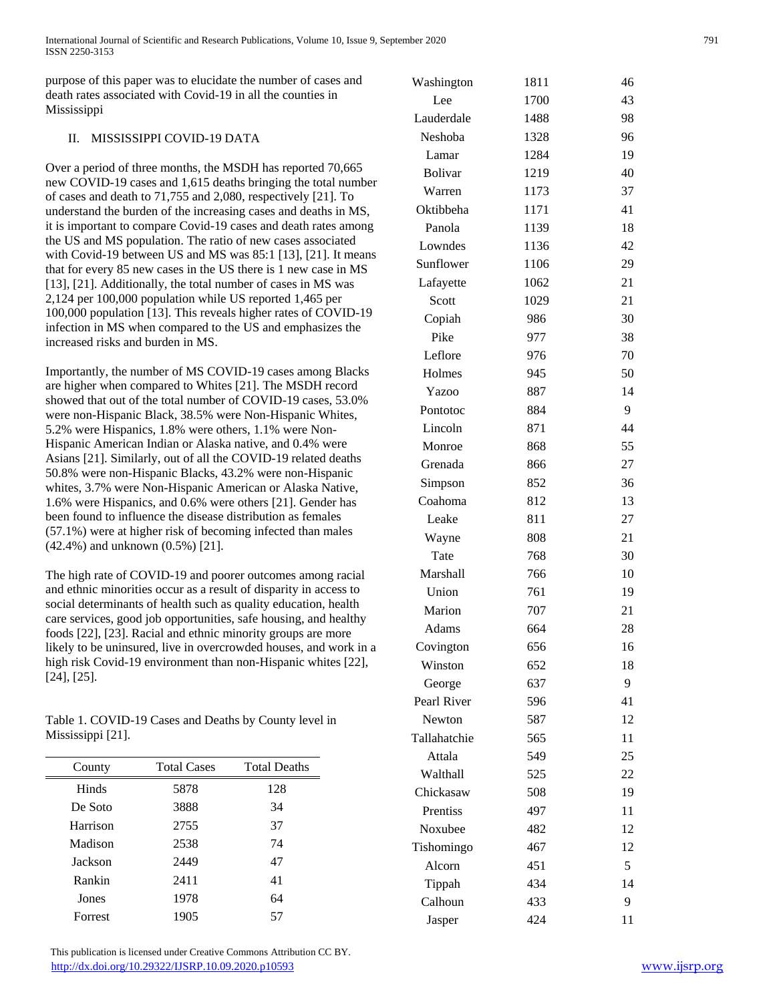purpose of this paper was to elucidate the number of cases and death rates associated with Covid-19 in all the counties in Mississippi

## II. MISSISSIPPI COVID-19 DATA

Over a period of three months, the MSDH has reported 70,665 new COVID-19 cases and 1,615 deaths bringing the total number of cases and death to 71,755 and 2,080, respectively [21]. To understand the burden of the increasing cases and deaths in MS, it is important to compare Covid-19 cases and death rates among the US and MS population. The ratio of new cases associated with Covid-19 between US and MS was 85:1 [13], [21]. It means that for every 85 new cases in the US there is 1 new case in MS [13], [21]. Additionally, the total number of cases in MS was 2,124 per 100,000 population while US reported 1,465 per 100,000 population [13]. This reveals higher rates of COVID-19 infection in MS when compared to the US and emphasizes the increased risks and burden in MS.

Importantly, the number of MS COVID-19 cases among Blacks are higher when compared to Whites [21]. The MSDH record showed that out of the total number of COVID-19 cases, 53.0% were non-Hispanic Black, 38.5% were Non-Hispanic Whites, 5.2% were Hispanics, 1.8% were others, 1.1% were Non-Hispanic American Indian or Alaska native, and 0.4% were Asians [21]. Similarly, out of all the COVID-19 related deaths 50.8% were non-Hispanic Blacks, 43.2% were non-Hispanic whites, 3.7% were Non-Hispanic American or Alaska Native, 1.6% were Hispanics, and 0.6% were others [21]. Gender has been found to influence the disease distribution as females (57.1%) were at higher risk of becoming infected than males (42.4%) and unknown (0.5%) [21].

The high rate of COVID-19 and poorer outcomes among racial and ethnic minorities occur as a result of disparity in access to social determinants of health such as quality education, health care services, good job opportunities, safe housing, and healthy foods [22], [23]. Racial and ethnic minority groups are more likely to be uninsured, live in overcrowded houses, and work in a high risk Covid-19 environment than non-Hispanic whites [22], [24], [25].

Table 1. COVID-19 Cases and Deaths by County level in Mississippi [21].

| County   | <b>Total Cases</b> | <b>Total Deaths</b> |
|----------|--------------------|---------------------|
| Hinds    | 5878               | 128                 |
| De Soto  | 3888               | 34                  |
| Harrison | 2755               | 37                  |
| Madison  | 2538               | 74                  |
| Jackson  | 2449               | 47                  |
| Rankin   | 2411               | 41                  |
| Jones    | 1978               | 64                  |
| Forrest  | 1905               | 57                  |

| Washington     | 1811 | 46 |
|----------------|------|----|
| Lee            | 1700 | 43 |
| Lauderdale     | 1488 | 98 |
| Neshoba        | 1328 | 96 |
| Lamar          | 1284 | 19 |
| <b>Bolivar</b> | 1219 | 40 |
| Warren         | 1173 | 37 |
| Oktibbeha      | 1171 | 41 |
| Panola         | 1139 | 18 |
| Lowndes        | 1136 | 42 |
| Sunflower      | 1106 | 29 |
| Lafayette      | 1062 | 21 |
| Scott          | 1029 | 21 |
| Copiah         | 986  | 30 |
| Pike           | 977  | 38 |
| Leflore        | 976  | 70 |
| Holmes         | 945  | 50 |
| Yazoo          | 887  | 14 |
| Pontotoc       | 884  | 9  |
| Lincoln        | 871  | 44 |
| Monroe         | 868  | 55 |
| Grenada        | 866  | 27 |
| Simpson        | 852  | 36 |
| Coahoma        | 812  | 13 |
| Leake          | 811  | 27 |
| Wayne          | 808  | 21 |
| Tate           | 768  | 30 |
| Marshall       | 766  | 10 |
| Union          | 761  | 19 |
| Marion         | 707  | 21 |
| Adams          | 664  | 28 |
| Covington      | 656  | 16 |
| Winston        | 652  | 18 |
| George         | 637  | 9  |
| Pearl River    | 596  | 41 |
| <b>Newton</b>  | 587  | 12 |
| Tallahatchie   | 565  | 11 |
| Attala         | 549  | 25 |
| Walthall       | 525  | 22 |
| Chickasaw      | 508  | 19 |
| Prentiss       | 497  | 11 |
| Noxubee        | 482  | 12 |
| Tishomingo     | 467  | 12 |
| Alcorn         | 451  | 5  |
| Tippah         | 434  | 14 |
| Calhoun        | 433  | 9  |
| Jasper         | 424  | 11 |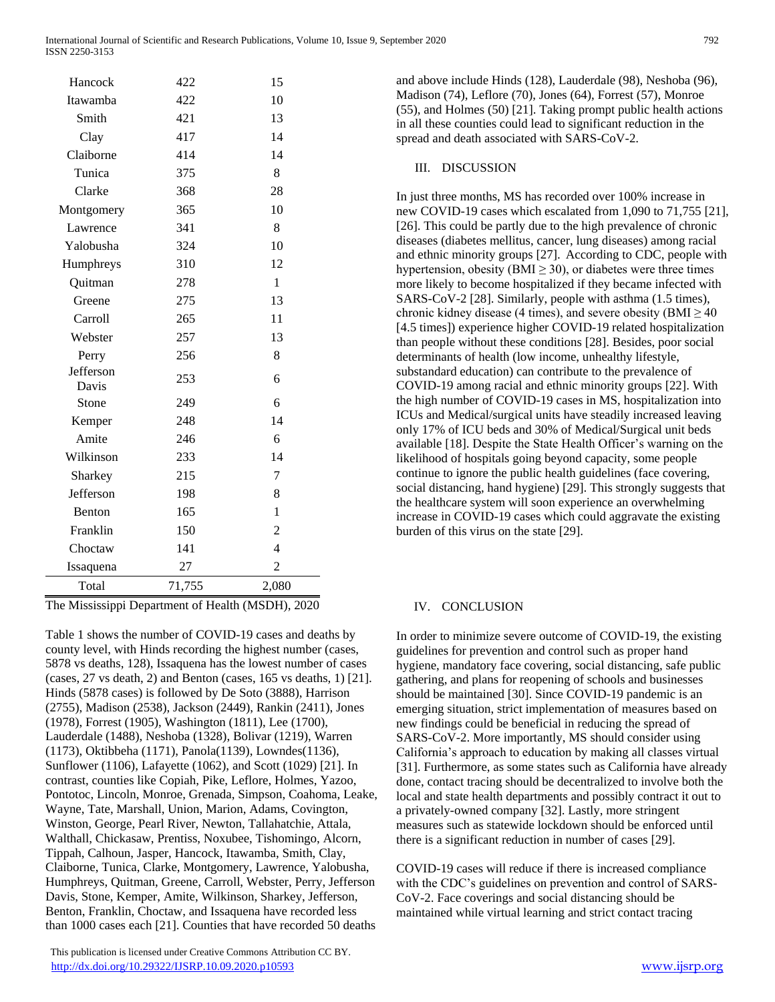| Hancock            | 422    | 15             |
|--------------------|--------|----------------|
| Itawamba           | 422    | 10             |
| Smith              | 421    | 13             |
| Clay               | 417    | 14             |
| Claiborne          | 414    | 14             |
| Tunica             | 375    | 8              |
| Clarke             | 368    | 28             |
| Montgomery         | 365    | 10             |
| Lawrence           | 341    | 8              |
| Yalobusha          | 324    | 10             |
| Humphreys          | 310    | 12             |
| Quitman            | 278    | 1              |
| Greene             | 275    | 13             |
| Carroll            | 265    | 11             |
| Webster            | 257    | 13             |
| Perry              | 256    | 8              |
| Jefferson<br>Davis | 253    | 6              |
| Stone              | 249    | 6              |
| Kemper             | 248    | 14             |
| Amite              | 246    | 6              |
| Wilkinson          | 233    | 14             |
| Sharkey            | 215    | 7              |
| Jefferson          | 198    | 8              |
| Benton             | 165    | 1              |
| Franklin           | 150    | $\overline{2}$ |
| Choctaw            | 141    | 4              |
| Issaquena          | 27     | $\overline{c}$ |
| Total              | 71,755 | 2,080          |

The Mississippi Department of Health (MSDH), 2020

Table 1 shows the number of COVID-19 cases and deaths by county level, with Hinds recording the highest number (cases, 5878 vs deaths, 128), Issaquena has the lowest number of cases (cases, 27 vs death, 2) and Benton (cases, 165 vs deaths, 1) [21]. Hinds (5878 cases) is followed by De Soto (3888), Harrison (2755), Madison (2538), Jackson (2449), Rankin (2411), Jones (1978), Forrest (1905), Washington (1811), Lee (1700), Lauderdale (1488), Neshoba (1328), Bolivar (1219), Warren (1173), Oktibbeha (1171), Panola(1139), Lowndes(1136), Sunflower (1106), Lafayette (1062), and Scott (1029) [21]. In contrast, counties like Copiah, Pike, Leflore, Holmes, Yazoo, Pontotoc, Lincoln, Monroe, Grenada, Simpson, Coahoma, Leake, Wayne, Tate, Marshall, Union, Marion, Adams, Covington, Winston, George, Pearl River, Newton, Tallahatchie, Attala, Walthall, Chickasaw, Prentiss, Noxubee, Tishomingo, Alcorn, Tippah, Calhoun, Jasper, Hancock, Itawamba, Smith, Clay, Claiborne, Tunica, Clarke, Montgomery, Lawrence, Yalobusha, Humphreys, Quitman, Greene, Carroll, Webster, Perry, Jefferson Davis, Stone, Kemper, Amite, Wilkinson, Sharkey, Jefferson, Benton, Franklin, Choctaw, and Issaquena have recorded less than 1000 cases each [21]. Counties that have recorded 50 deaths

 This publication is licensed under Creative Commons Attribution CC BY. <http://dx.doi.org/10.29322/IJSRP.10.09.2020.p10593> [www.ijsrp.org](http://ijsrp.org/)

### III. DISCUSSION

In just three months, MS has recorded over 100% increase in new COVID-19 cases which escalated from 1,090 to 71,755 [21], [26]. This could be partly due to the high prevalence of chronic diseases (diabetes mellitus, cancer, lung diseases) among racial and ethnic minority groups [27]. According to CDC, people with hypertension, obesity (BMI  $\geq$  30), or diabetes were three times more likely to become hospitalized if they became infected with SARS-CoV-2 [28]. Similarly, people with asthma (1.5 times), chronic kidney disease (4 times), and severe obesity ( $BMI \geq 40$ [4.5 times]) experience higher COVID-19 related hospitalization than people without these conditions [28]. Besides, poor social determinants of health (low income, unhealthy lifestyle, substandard education) can contribute to the prevalence of COVID-19 among racial and ethnic minority groups [22]. With the high number of COVID-19 cases in MS, hospitalization into ICUs and Medical/surgical units have steadily increased leaving only 17% of ICU beds and 30% of Medical/Surgical unit beds available [18]. Despite the State Health Officer's warning on the likelihood of hospitals going beyond capacity, some people continue to ignore the public health guidelines (face covering, social distancing, hand hygiene) [29]. This strongly suggests that the healthcare system will soon experience an overwhelming increase in COVID-19 cases which could aggravate the existing burden of this virus on the state [29].

#### IV. CONCLUSION

In order to minimize severe outcome of COVID-19, the existing guidelines for prevention and control such as proper hand hygiene, mandatory face covering, social distancing, safe public gathering, and plans for reopening of schools and businesses should be maintained [30]. Since COVID-19 pandemic is an emerging situation, strict implementation of measures based on new findings could be beneficial in reducing the spread of SARS-CoV-2. More importantly, MS should consider using California's approach to education by making all classes virtual [31]. Furthermore, as some states such as California have already done, contact tracing should be decentralized to involve both the local and state health departments and possibly contract it out to a privately-owned company [32]. Lastly, more stringent measures such as statewide lockdown should be enforced until there is a significant reduction in number of cases [29].

COVID-19 cases will reduce if there is increased compliance with the CDC's guidelines on prevention and control of SARS-CoV-2. Face coverings and social distancing should be maintained while virtual learning and strict contact tracing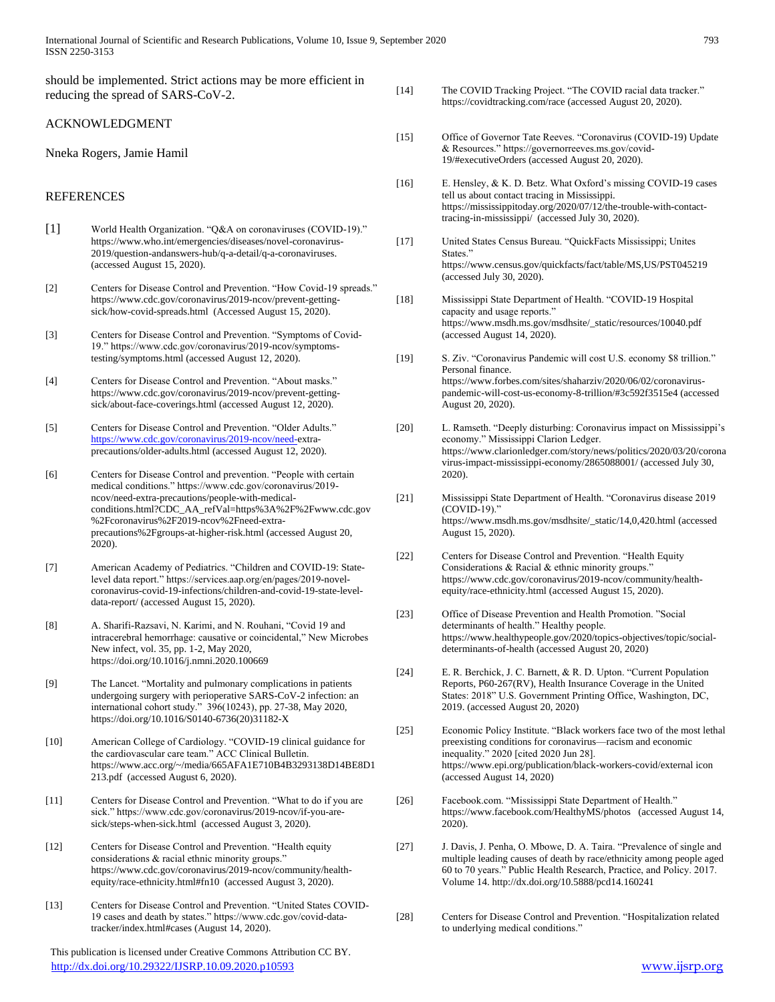should be implemented. Strict actions may be more efficient in reducing the spread of SARS-CoV-2.

#### ACKNOWLEDGMENT

#### Nneka Rogers, Jamie Hamil

#### REFERENCES

- [1] World Health Organization. "Q&A on coronaviruses (COVID-19)." https://www.who.int/emergencies/diseases/novel-coronavirus-2019/question-andanswers-hub/q-a-detail/q-a-coronaviruses. (accessed August 15, 2020).
- [2] Centers for Disease Control and Prevention. "How Covid-19 spreads." https://www.cdc.gov/coronavirus/2019-ncov/prevent-gettingsick/how-covid-spreads.html (Accessed August 15, 2020).
- [3] Centers for Disease Control and Prevention. "Symptoms of Covid-19." https://www.cdc.gov/coronavirus/2019-ncov/symptomstesting/symptoms.html (accessed August 12, 2020).
- [4] Centers for Disease Control and Prevention. "About masks." https://www.cdc.gov/coronavirus/2019-ncov/prevent-gettingsick/about-face-coverings.html (accessed August 12, 2020).
- [5] Centers for Disease Control and Prevention. "Older Adults." [https://www.cdc.gov/coronavirus/2019-ncov/need-e](https://www.cdc.gov/coronavirus/2019-ncov/need-)xtraprecautions/older-adults.html (accessed August 12, 2020).
- [6] Centers for Disease Control and prevention. "People with certain medical conditions." https://www.cdc.gov/coronavirus/2019 ncov/need-extra-precautions/people-with-medicalconditions.html?CDC\_AA\_refVal=https%3A%2F%2Fwww.cdc.gov %2Fcoronavirus%2F2019-ncov%2Fneed-extraprecautions%2Fgroups-at-higher-risk.html (accessed August 20, 2020).
- [7] American Academy of Pediatrics. "Children and COVID-19: Statelevel data report." https://services.aap.org/en/pages/2019-novelcoronavirus-covid-19-infections/children-and-covid-19-state-leveldata-report/ (accessed August 15, 2020).
- [8] A. Sharifi-Razsavi, N. Karimi, and N. Rouhani, "Covid 19 and intracerebral hemorrhage: causative or coincidental," New Microbes New infect, vol. 35, pp. 1-2, May 2020, https://doi.org/10.1016/j.nmni.2020.100669
- [9] The Lancet. "Mortality and pulmonary complications in patients undergoing surgery with perioperative SARS-CoV-2 infection: an international cohort study." 396(10243), pp. 27-38, May 2020, https://doi.org/10.1016/S0140-6736(20)31182-X
- [10] American College of Cardiology. "COVID-19 clinical guidance for the cardiovascular care team." ACC Clinical Bulletin. https://www.acc.org/~/media/665AFA1E710B4B3293138D14BE8D1 213.pdf (accessed August 6, 2020).
- [11] Centers for Disease Control and Prevention. "What to do if you are sick." https://www.cdc.gov/coronavirus/2019-ncov/if-you-aresick/steps-when-sick.html (accessed August 3, 2020).
- [12] Centers for Disease Control and Prevention. "Health equity considerations & racial ethnic minority groups." https://www.cdc.gov/coronavirus/2019-ncov/community/healthequity/race-ethnicity.html#fn10 (accessed August 3, 2020).
- [13] Centers for Disease Control and Prevention. "United States COVID-19 cases and death by states." https://www.cdc.gov/covid-datatracker/index.html#cases (August 14, 2020).

 This publication is licensed under Creative Commons Attribution CC BY. <http://dx.doi.org/10.29322/IJSRP.10.09.2020.p10593> [www.ijsrp.org](http://ijsrp.org/)

- [14] The COVID Tracking Project. "The COVID racial data tracker." https://covidtracking.com/race (accessed August 20, 2020).
- [15] Office of Governor Tate Reeves. "Coronavirus (COVID-19) Update & Resources." https://governorreeves.ms.gov/covid-19/#executiveOrders (accessed August 20, 2020).
- [16] E. Hensley, & K. D. Betz. What Oxford's missing COVID-19 cases tell us about contact tracing in Mississippi. https://mississippitoday.org/2020/07/12/the-trouble-with-contacttracing-in-mississippi/ (accessed July 30, 2020).
- [17] United States Census Bureau. "QuickFacts Mississippi; Unites States." https://www.census.gov/quickfacts/fact/table/MS,US/PST045219 (accessed July 30, 2020).
- [18] Mississippi State Department of Health. "COVID-19 Hospital capacity and usage reports." https://www.msdh.ms.gov/msdhsite/\_static/resources/10040.pdf (accessed August 14, 2020).
- [19] S. Ziv. "Coronavirus Pandemic will cost U.S. economy \$8 trillion." Personal finance. https://www.forbes.com/sites/shaharziv/2020/06/02/coronaviruspandemic-will-cost-us-economy-8-trillion/#3c592f3515e4 (accessed August 20, 2020).
- [20] L. Ramseth. "Deeply disturbing: Coronavirus impact on Mississippi's economy." Mississippi Clarion Ledger. https://www.clarionledger.com/story/news/politics/2020/03/20/corona virus-impact-mississippi-economy/2865088001/ (accessed July 30, 2020).
- [21] Mississippi State Department of Health. "Coronavirus disease 2019 (COVID-19)." https://www.msdh.ms.gov/msdhsite/\_static/14,0,420.html (accessed August 15, 2020).
- [22] Centers for Disease Control and Prevention. "Health Equity Considerations & Racial & ethnic minority groups." https://www.cdc.gov/coronavirus/2019-ncov/community/healthequity/race-ethnicity.html (accessed August 15, 2020).
- [23] Office of Disease Prevention and Health Promotion. "Social determinants of health." Healthy people. https://www.healthypeople.gov/2020/topics-objectives/topic/socialdeterminants-of-health (accessed August 20, 2020)
- [24] E. R. Berchick, J. C. Barnett, & R. D. Upton. "Current Population Reports, P60-267(RV), Health Insurance Coverage in the United States: 2018" U.S. Government Printing Office, Washington, DC, 2019. (accessed August 20, 2020)
- [25] Economic Policy Institute. "Black workers face two of the most lethal preexisting conditions for coronavirus—racism and economic inequality." 2020 [cited 2020 Jun 28]. https://www.epi.org/publication/black-workers-covid/external icon (accessed August 14, 2020)
- [26] Facebook.com. "Mississippi State Department of Health." https://www.facebook.com/HealthyMS/photos (accessed August 14, 2020).
- [27] J. Davis, J. Penha, O. Mbowe, D. A. Taira. "Prevalence of single and multiple leading causes of death by race/ethnicity among people aged 60 to 70 years." Public Health Research, Practice, and Policy. 2017. Volume 14. http://dx.doi.org/10.5888/pcd14.160241
- [28] Centers for Disease Control and Prevention. "Hospitalization related to underlying medical conditions."